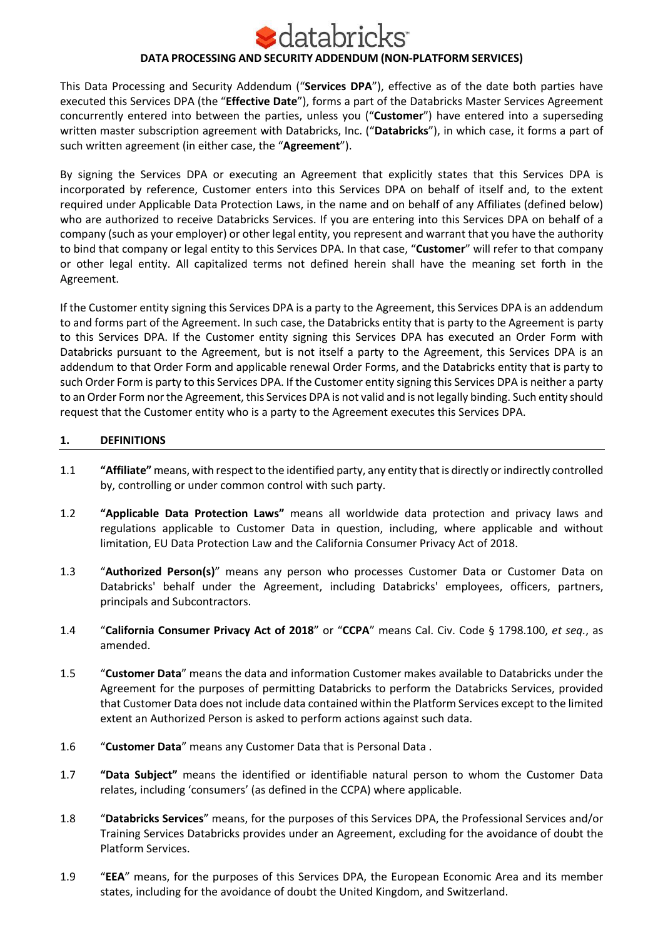# latabricks **DATA PROCESSING AND SECURITY ADDENDUM (NON-PLATFORM SERVICES)**

This Data Processing and Security Addendum ("**Services DPA**"), effective as of the date both parties have executed this Services DPA (the "**Effective Date**"), forms a part of the Databricks Master Services Agreement concurrently entered into between the parties, unless you ("**Customer**") have entered into a superseding written master subscription agreement with Databricks, Inc. ("**Databricks**"), in which case, it forms a part of such written agreement (in either case, the "**Agreement**").

By signing the Services DPA or executing an Agreement that explicitly states that this Services DPA is incorporated by reference, Customer enters into this Services DPA on behalf of itself and, to the extent required under Applicable Data Protection Laws, in the name and on behalf of any Affiliates (defined below) who are authorized to receive Databricks Services. If you are entering into this Services DPA on behalf of a company (such as your employer) or other legal entity, you represent and warrant that you have the authority to bind that company or legal entity to this Services DPA. In that case, "**Customer**" will refer to that company or other legal entity. All capitalized terms not defined herein shall have the meaning set forth in the Agreement.

If the Customer entity signing this Services DPA is a party to the Agreement, this Services DPA is an addendum to and forms part of the Agreement. In such case, the Databricks entity that is party to the Agreement is party to this Services DPA. If the Customer entity signing this Services DPA has executed an Order Form with Databricks pursuant to the Agreement, but is not itself a party to the Agreement, this Services DPA is an addendum to that Order Form and applicable renewal Order Forms, and the Databricks entity that is party to such Order Form is party to this Services DPA. If the Customer entity signing this Services DPA is neither a party to an Order Form nor the Agreement, this Services DPA is not valid and is not legally binding. Such entity should request that the Customer entity who is a party to the Agreement executes this Services DPA.

# **1. DEFINITIONS**

- 1.1 **"Affiliate"** means, with respect to the identified party, any entity that is directly or indirectly controlled by, controlling or under common control with such party.
- 1.2 **"Applicable Data Protection Laws"** means all worldwide data protection and privacy laws and regulations applicable to Customer Data in question, including, where applicable and without limitation, EU Data Protection Law and the California Consumer Privacy Act of 2018.
- 1.3 "**Authorized Person(s)**" means any person who processes Customer Data or Customer Data on Databricks' behalf under the Agreement, including Databricks' employees, officers, partners, principals and Subcontractors.
- 1.4 "**California Consumer Privacy Act of 2018**" or "**CCPA**" means Cal. Civ. Code § 1798.100, *et seq.*, as amended.
- 1.5 "**Customer Data**" means the data and information Customer makes available to Databricks under the Agreement for the purposes of permitting Databricks to perform the Databricks Services, provided that Customer Data does not include data contained within the Platform Services except to the limited extent an Authorized Person is asked to perform actions against such data.
- 1.6 "**Customer Data**" means any Customer Data that is Personal Data .
- 1.7 **"Data Subject"** means the identified or identifiable natural person to whom the Customer Data relates, including 'consumers' (as defined in the CCPA) where applicable.
- 1.8 "**Databricks Services**" means, for the purposes of this Services DPA, the Professional Services and/or Training Services Databricks provides under an Agreement, excluding for the avoidance of doubt the Platform Services.
- 1.9 "**EEA**" means, for the purposes of this Services DPA, the European Economic Area and its member states, including for the avoidance of doubt the United Kingdom, and Switzerland.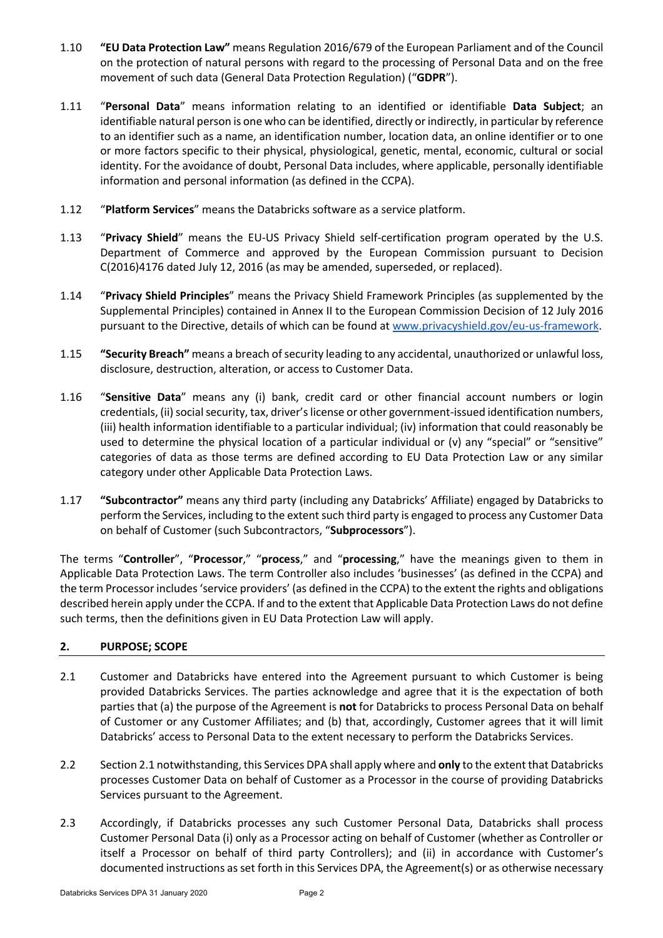- 1.10 **"EU Data Protection Law"** means Regulation 2016/679 of the European Parliament and of the Council on the protection of natural persons with regard to the processing of Personal Data and on the free movement of such data (General Data Protection Regulation) ("**GDPR**").
- 1.11 "**Personal Data**" means information relating to an identified or identifiable **Data Subject**; an identifiable natural person is one who can be identified, directly or indirectly, in particular by reference to an identifier such as a name, an identification number, location data, an online identifier or to one or more factors specific to their physical, physiological, genetic, mental, economic, cultural or social identity. For the avoidance of doubt, Personal Data includes, where applicable, personally identifiable information and personal information (as defined in the CCPA).
- 1.12 "**Platform Services**" means the Databricks software as a service platform.
- 1.13 "**Privacy Shield**" means the EU-US Privacy Shield self-certification program operated by the U.S. Department of Commerce and approved by the European Commission pursuant to Decision C(2016)4176 dated July 12, 2016 (as may be amended, superseded, or replaced).
- 1.14 "**Privacy Shield Principles**" means the Privacy Shield Framework Principles (as supplemented by the Supplemental Principles) contained in Annex II to the European Commission Decision of 12 July 2016 pursuant to the Directive, details of which can be found at www.privacyshield.gov/eu-us-framework.
- 1.15 **"Security Breach"** means a breach of security leading to any accidental, unauthorized or unlawful loss, disclosure, destruction, alteration, or access to Customer Data.
- 1.16 "**Sensitive Data**" means any (i) bank, credit card or other financial account numbers or login credentials, (ii) social security, tax, driver's license or other government-issued identification numbers, (iii) health information identifiable to a particular individual; (iv) information that could reasonably be used to determine the physical location of a particular individual or (v) any "special" or "sensitive" categories of data as those terms are defined according to EU Data Protection Law or any similar category under other Applicable Data Protection Laws.
- 1.17 **"Subcontractor"** means any third party (including any Databricks' Affiliate) engaged by Databricks to perform the Services, including to the extent such third party is engaged to process any Customer Data on behalf of Customer (such Subcontractors, "**Subprocessors**").

The terms "**Controller**", "**Processor**," "**process**," and "**processing**," have the meanings given to them in Applicable Data Protection Laws. The term Controller also includes 'businesses' (as defined in the CCPA) and the term Processor includes 'service providers' (as defined in the CCPA) to the extent the rights and obligations described herein apply under the CCPA. If and to the extent that Applicable Data Protection Laws do not define such terms, then the definitions given in EU Data Protection Law will apply.

# **2. PURPOSE; SCOPE**

- 2.1 Customer and Databricks have entered into the Agreement pursuant to which Customer is being provided Databricks Services. The parties acknowledge and agree that it is the expectation of both parties that (a) the purpose of the Agreement is **not** for Databricks to process Personal Data on behalf of Customer or any Customer Affiliates; and (b) that, accordingly, Customer agrees that it will limit Databricks' access to Personal Data to the extent necessary to perform the Databricks Services.
- 2.2 Section 2.1 notwithstanding, this Services DPA shall apply where and **only** to the extent that Databricks processes Customer Data on behalf of Customer as a Processor in the course of providing Databricks Services pursuant to the Agreement.
- 2.3 Accordingly, if Databricks processes any such Customer Personal Data, Databricks shall process Customer Personal Data (i) only as a Processor acting on behalf of Customer (whether as Controller or itself a Processor on behalf of third party Controllers); and (ii) in accordance with Customer's documented instructions as set forth in this Services DPA, the Agreement(s) or as otherwise necessary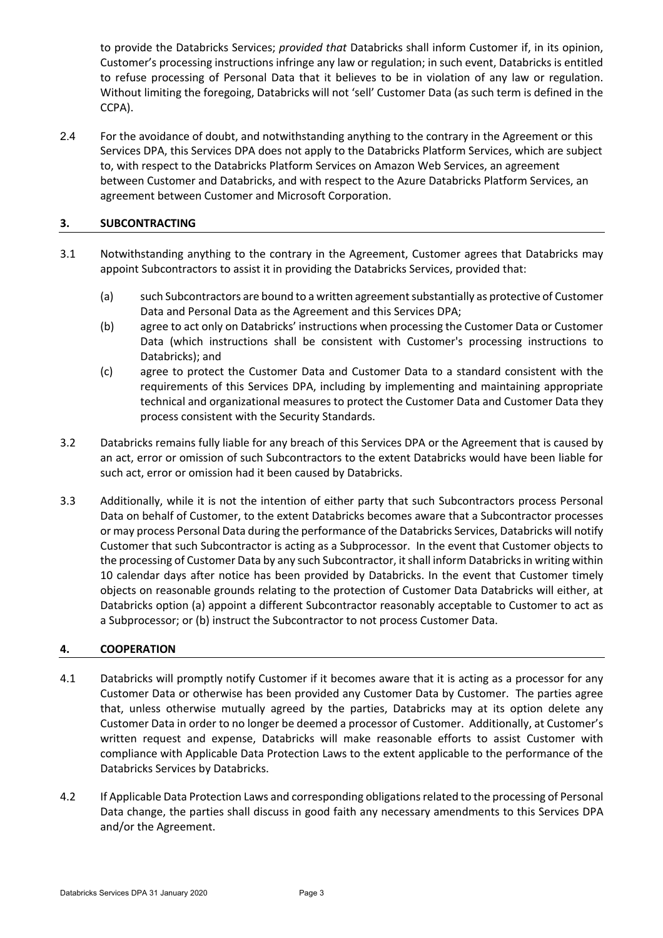to provide the Databricks Services; *provided that* Databricks shall inform Customer if, in its opinion, Customer's processing instructions infringe any law or regulation; in such event, Databricks is entitled to refuse processing of Personal Data that it believes to be in violation of any law or regulation. Without limiting the foregoing, Databricks will not 'sell' Customer Data (as such term is defined in the CCPA).

2.4 For the avoidance of doubt, and notwithstanding anything to the contrary in the Agreement or this Services DPA, this Services DPA does not apply to the Databricks Platform Services, which are subject to, with respect to the Databricks Platform Services on Amazon Web Services, an agreement between Customer and Databricks, and with respect to the Azure Databricks Platform Services, an agreement between Customer and Microsoft Corporation.

# **3. SUBCONTRACTING**

- 3.1 Notwithstanding anything to the contrary in the Agreement, Customer agrees that Databricks may appoint Subcontractors to assist it in providing the Databricks Services, provided that:
	- (a) such Subcontractors are bound to a written agreement substantially as protective of Customer Data and Personal Data as the Agreement and this Services DPA;
	- (b) agree to act only on Databricks' instructions when processing the Customer Data or Customer Data (which instructions shall be consistent with Customer's processing instructions to Databricks); and
	- (c) agree to protect the Customer Data and Customer Data to a standard consistent with the requirements of this Services DPA, including by implementing and maintaining appropriate technical and organizational measures to protect the Customer Data and Customer Data they process consistent with the Security Standards.
- 3.2 Databricks remains fully liable for any breach of this Services DPA or the Agreement that is caused by an act, error or omission of such Subcontractors to the extent Databricks would have been liable for such act, error or omission had it been caused by Databricks.
- 3.3 Additionally, while it is not the intention of either party that such Subcontractors process Personal Data on behalf of Customer, to the extent Databricks becomes aware that a Subcontractor processes or may process Personal Data during the performance of the Databricks Services, Databricks will notify Customer that such Subcontractor is acting as a Subprocessor. In the event that Customer objects to the processing of Customer Data by any such Subcontractor, it shall inform Databricks in writing within 10 calendar days after notice has been provided by Databricks. In the event that Customer timely objects on reasonable grounds relating to the protection of Customer Data Databricks will either, at Databricks option (a) appoint a different Subcontractor reasonably acceptable to Customer to act as a Subprocessor; or (b) instruct the Subcontractor to not process Customer Data.

## **4. COOPERATION**

- 4.1 Databricks will promptly notify Customer if it becomes aware that it is acting as a processor for any Customer Data or otherwise has been provided any Customer Data by Customer. The parties agree that, unless otherwise mutually agreed by the parties, Databricks may at its option delete any Customer Data in order to no longer be deemed a processor of Customer. Additionally, at Customer's written request and expense, Databricks will make reasonable efforts to assist Customer with compliance with Applicable Data Protection Laws to the extent applicable to the performance of the Databricks Services by Databricks.
- 4.2 If Applicable Data Protection Laws and corresponding obligations related to the processing of Personal Data change, the parties shall discuss in good faith any necessary amendments to this Services DPA and/or the Agreement.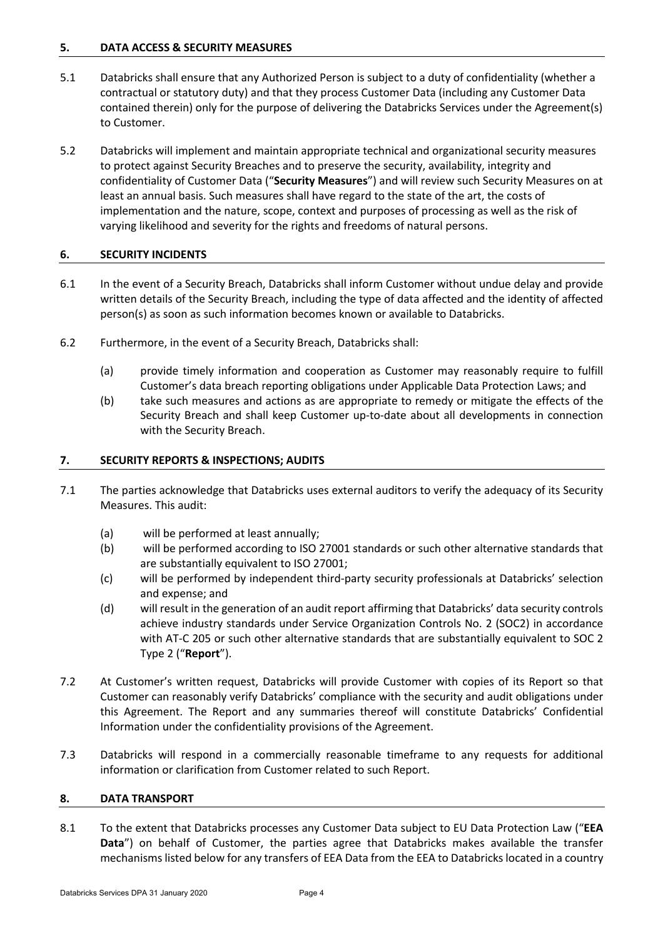## **5. DATA ACCESS & SECURITY MEASURES**

- 5.1 Databricks shall ensure that any Authorized Person is subject to a duty of confidentiality (whether a contractual or statutory duty) and that they process Customer Data (including any Customer Data contained therein) only for the purpose of delivering the Databricks Services under the Agreement(s) to Customer.
- 5.2 Databricks will implement and maintain appropriate technical and organizational security measures to protect against Security Breaches and to preserve the security, availability, integrity and confidentiality of Customer Data ("**Security Measures**") and will review such Security Measures on at least an annual basis. Such measures shall have regard to the state of the art, the costs of implementation and the nature, scope, context and purposes of processing as well as the risk of varying likelihood and severity for the rights and freedoms of natural persons.

#### **6. SECURITY INCIDENTS**

- 6.1 In the event of a Security Breach, Databricks shall inform Customer without undue delay and provide written details of the Security Breach, including the type of data affected and the identity of affected person(s) as soon as such information becomes known or available to Databricks.
- 6.2 Furthermore, in the event of a Security Breach, Databricks shall:
	- (a) provide timely information and cooperation as Customer may reasonably require to fulfill Customer's data breach reporting obligations under Applicable Data Protection Laws; and
	- (b) take such measures and actions as are appropriate to remedy or mitigate the effects of the Security Breach and shall keep Customer up-to-date about all developments in connection with the Security Breach.

#### **7. SECURITY REPORTS & INSPECTIONS; AUDITS**

- 7.1 The parties acknowledge that Databricks uses external auditors to verify the adequacy of its Security Measures. This audit:
	- (a) will be performed at least annually;
	- (b) will be performed according to ISO 27001 standards or such other alternative standards that are substantially equivalent to ISO 27001;
	- (c) will be performed by independent third-party security professionals at Databricks' selection and expense; and
	- (d) will result in the generation of an audit report affirming that Databricks' data security controls achieve industry standards under Service Organization Controls No. 2 (SOC2) in accordance with AT-C 205 or such other alternative standards that are substantially equivalent to SOC 2 Type 2 ("**Report**").
- 7.2 At Customer's written request, Databricks will provide Customer with copies of its Report so that Customer can reasonably verify Databricks' compliance with the security and audit obligations under this Agreement. The Report and any summaries thereof will constitute Databricks' Confidential Information under the confidentiality provisions of the Agreement.
- 7.3 Databricks will respond in a commercially reasonable timeframe to any requests for additional information or clarification from Customer related to such Report.

#### **8. DATA TRANSPORT**

8.1 To the extent that Databricks processes any Customer Data subject to EU Data Protection Law ("**EEA Data**") on behalf of Customer, the parties agree that Databricks makes available the transfer mechanisms listed below for any transfers of EEA Data from the EEA to Databricks located in a country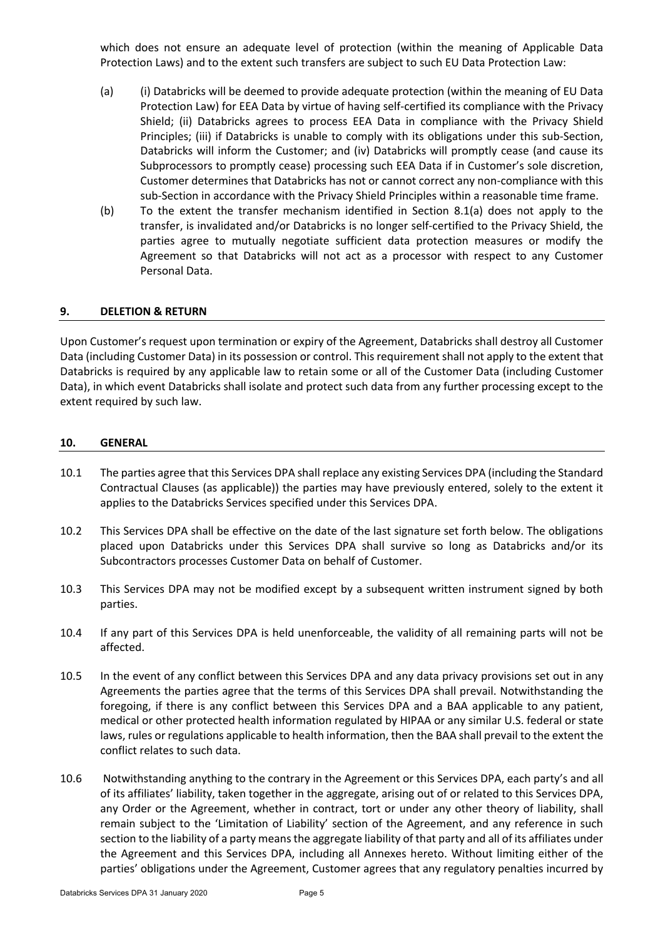which does not ensure an adequate level of protection (within the meaning of Applicable Data Protection Laws) and to the extent such transfers are subject to such EU Data Protection Law:

- (a) (i) Databricks will be deemed to provide adequate protection (within the meaning of EU Data Protection Law) for EEA Data by virtue of having self-certified its compliance with the Privacy Shield; (ii) Databricks agrees to process EEA Data in compliance with the Privacy Shield Principles; (iii) if Databricks is unable to comply with its obligations under this sub-Section, Databricks will inform the Customer; and (iv) Databricks will promptly cease (and cause its Subprocessors to promptly cease) processing such EEA Data if in Customer's sole discretion, Customer determines that Databricks has not or cannot correct any non-compliance with this sub-Section in accordance with the Privacy Shield Principles within a reasonable time frame.
- (b) To the extent the transfer mechanism identified in Section 8.1(a) does not apply to the transfer, is invalidated and/or Databricks is no longer self-certified to the Privacy Shield, the parties agree to mutually negotiate sufficient data protection measures or modify the Agreement so that Databricks will not act as a processor with respect to any Customer Personal Data.

## **9. DELETION & RETURN**

Upon Customer's request upon termination or expiry of the Agreement, Databricks shall destroy all Customer Data (including Customer Data) in its possession or control. This requirement shall not apply to the extent that Databricks is required by any applicable law to retain some or all of the Customer Data (including Customer Data), in which event Databricks shall isolate and protect such data from any further processing except to the extent required by such law.

#### **10. GENERAL**

- 10.1 The parties agree that this Services DPA shall replace any existing Services DPA (including the Standard Contractual Clauses (as applicable)) the parties may have previously entered, solely to the extent it applies to the Databricks Services specified under this Services DPA.
- 10.2 This Services DPA shall be effective on the date of the last signature set forth below. The obligations placed upon Databricks under this Services DPA shall survive so long as Databricks and/or its Subcontractors processes Customer Data on behalf of Customer.
- 10.3 This Services DPA may not be modified except by a subsequent written instrument signed by both parties.
- 10.4 If any part of this Services DPA is held unenforceable, the validity of all remaining parts will not be affected.
- 10.5 In the event of any conflict between this Services DPA and any data privacy provisions set out in any Agreements the parties agree that the terms of this Services DPA shall prevail. Notwithstanding the foregoing, if there is any conflict between this Services DPA and a BAA applicable to any patient, medical or other protected health information regulated by HIPAA or any similar U.S. federal or state laws, rules or regulations applicable to health information, then the BAA shall prevail to the extent the conflict relates to such data.
- 10.6 Notwithstanding anything to the contrary in the Agreement or this Services DPA, each party's and all of its affiliates' liability, taken together in the aggregate, arising out of or related to this Services DPA, any Order or the Agreement, whether in contract, tort or under any other theory of liability, shall remain subject to the 'Limitation of Liability' section of the Agreement, and any reference in such section to the liability of a party means the aggregate liability of that party and all of its affiliates under the Agreement and this Services DPA, including all Annexes hereto. Without limiting either of the parties' obligations under the Agreement, Customer agrees that any regulatory penalties incurred by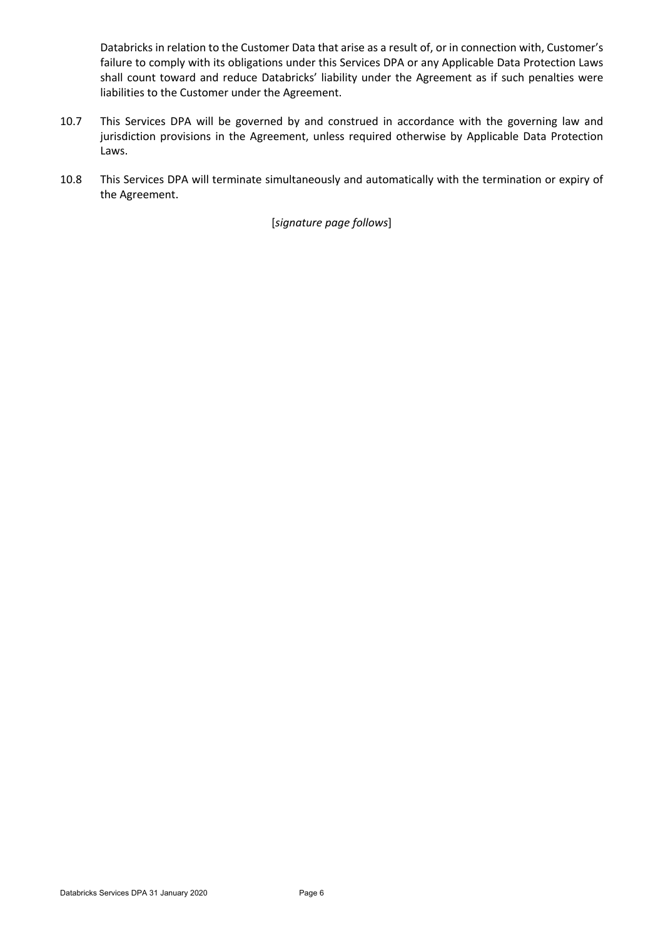Databricks in relation to the Customer Data that arise as a result of, or in connection with, Customer's failure to comply with its obligations under this Services DPA or any Applicable Data Protection Laws shall count toward and reduce Databricks' liability under the Agreement as if such penalties were liabilities to the Customer under the Agreement.

- 10.7 This Services DPA will be governed by and construed in accordance with the governing law and jurisdiction provisions in the Agreement, unless required otherwise by Applicable Data Protection Laws.
- 10.8 This Services DPA will terminate simultaneously and automatically with the termination or expiry of the Agreement.

[*signature page follows*]